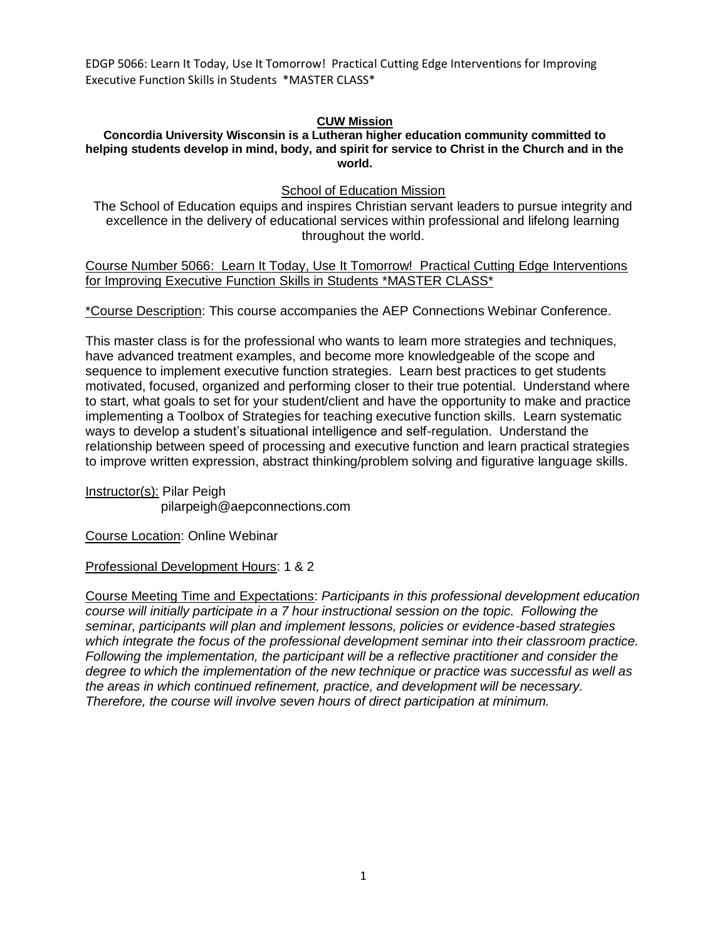## **CUW Mission**

#### **Concordia University Wisconsin is a Lutheran higher education community committed to helping students develop in mind, body, and spirit for service to Christ in the Church and in the world.**

School of Education Mission

The School of Education equips and inspires Christian servant leaders to pursue integrity and excellence in the delivery of educational services within professional and lifelong learning throughout the world.

Course Number 5066: Learn It Today, Use It Tomorrow! Practical Cutting Edge Interventions for Improving Executive Function Skills in Students \*MASTER CLASS\*

\*Course Description: This course accompanies the AEP Connections Webinar Conference.

This master class is for the professional who wants to learn more strategies and techniques, have advanced treatment examples, and become more knowledgeable of the scope and sequence to implement executive function strategies. Learn best practices to get students motivated, focused, organized and performing closer to their true potential. Understand where to start, what goals to set for your student/client and have the opportunity to make and practice implementing a Toolbox of Strategies for teaching executive function skills. Learn systematic ways to develop a student's situational intelligence and self-regulation. Understand the relationship between speed of processing and executive function and learn practical strategies to improve written expression, abstract thinking/problem solving and figurative language skills.

Instructor(s): Pilar Peigh pilarpeigh@aepconnections.com

Course Location: Online Webinar

Professional Development Hours: 1 & 2

Course Meeting Time and Expectations: *Participants in this professional development education course will initially participate in a 7 hour instructional session on the topic. Following the seminar, participants will plan and implement lessons, policies or evidence-based strategies which integrate the focus of the professional development seminar into their classroom practice. Following the implementation, the participant will be a reflective practitioner and consider the degree to which the implementation of the new technique or practice was successful as well as the areas in which continued refinement, practice, and development will be necessary. Therefore, the course will involve seven hours of direct participation at minimum.*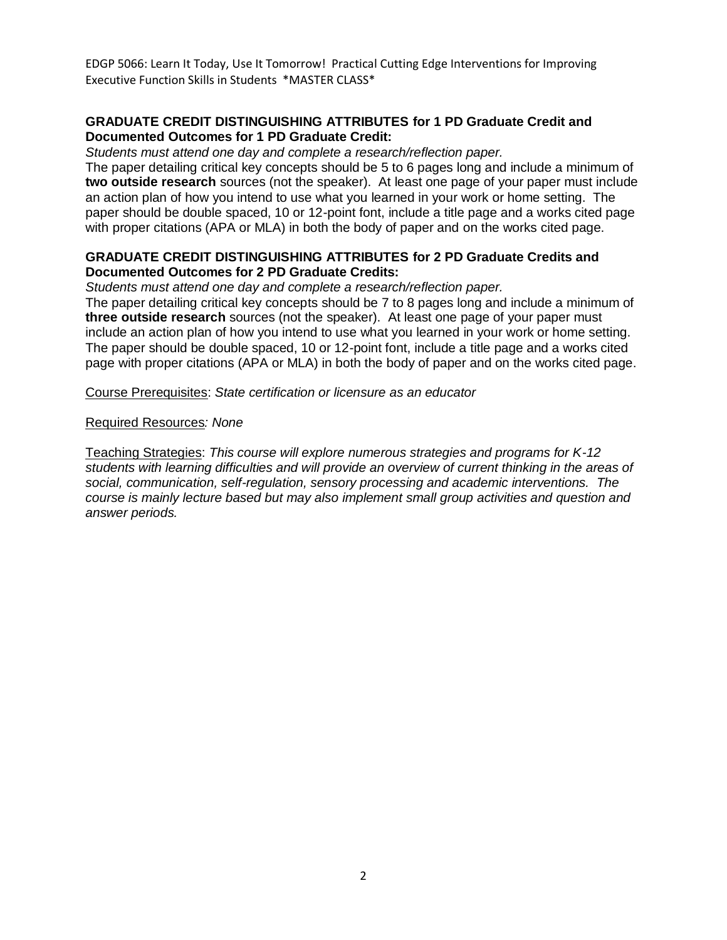# **GRADUATE CREDIT DISTINGUISHING ATTRIBUTES for 1 PD Graduate Credit and Documented Outcomes for 1 PD Graduate Credit:**

*Students must attend one day and complete a research/reflection paper.*

The paper detailing critical key concepts should be 5 to 6 pages long and include a minimum of **two outside research** sources (not the speaker). At least one page of your paper must include an action plan of how you intend to use what you learned in your work or home setting. The paper should be double spaced, 10 or 12-point font, include a title page and a works cited page with proper citations (APA or MLA) in both the body of paper and on the works cited page.

## **GRADUATE CREDIT DISTINGUISHING ATTRIBUTES for 2 PD Graduate Credits and Documented Outcomes for 2 PD Graduate Credits:**

*Students must attend one day and complete a research/reflection paper.*

The paper detailing critical key concepts should be 7 to 8 pages long and include a minimum of **three outside research** sources (not the speaker). At least one page of your paper must include an action plan of how you intend to use what you learned in your work or home setting. The paper should be double spaced, 10 or 12-point font, include a title page and a works cited page with proper citations (APA or MLA) in both the body of paper and on the works cited page.

Course Prerequisites: *State certification or licensure as an educator*

### Required Resources*: None*

Teaching Strategies: *This course will explore numerous strategies and programs for K-12 students with learning difficulties and will provide an overview of current thinking in the areas of social, communication, self-regulation, sensory processing and academic interventions. The course is mainly lecture based but may also implement small group activities and question and answer periods.*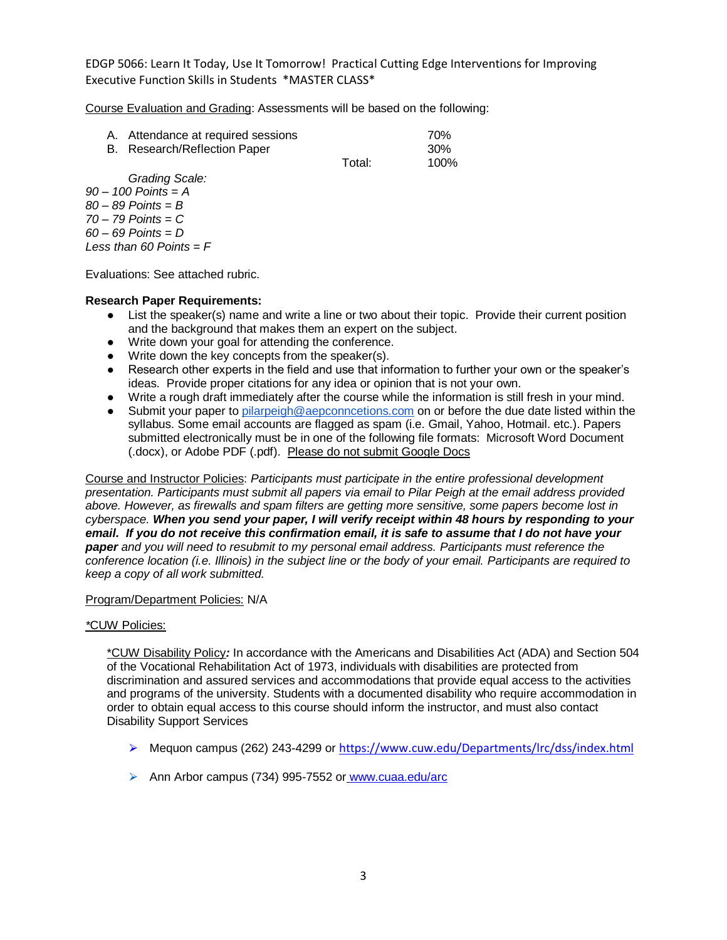Course Evaluation and Grading: Assessments will be based on the following:

| A. Attendance at required sessions<br>B. Research/Reflection Paper |        | 70%<br>-30% |
|--------------------------------------------------------------------|--------|-------------|
|                                                                    | Total: | 100%        |

*Grading Scale:*

*90 – 100 Points = A 80 – 89 Points = B 70 – 79 Points = C 60 – 69 Points = D Less than 60 Points = F*

Evaluations: See attached rubric.

#### **Research Paper Requirements:**

- List the speaker(s) name and write a line or two about their topic. Provide their current position and the background that makes them an expert on the subject.
- Write down your goal for attending the conference.
- Write down the key concepts from the speaker(s).
- Research other experts in the field and use that information to further your own or the speaker's ideas. Provide proper citations for any idea or opinion that is not your own.
- Write a rough draft immediately after the course while the information is still fresh in your mind.
- Submit your paper t[o pilarpeigh@aepconncetions.com](mailto:pilarpeigh@aepconncetions.com) on or before the due date listed within the syllabus. Some email accounts are flagged as spam (i.e. Gmail, Yahoo, Hotmail. etc.). Papers submitted electronically must be in one of the following file formats: Microsoft Word Document (.docx), or Adobe PDF (.pdf). Please do not submit Google Docs

Course and Instructor Policies: *Participants must participate in the entire professional development presentation. Participants must submit all papers via email to Pilar Peigh at the email address provided above. However, as firewalls and spam filters are getting more sensitive, some papers become lost in cyberspace. When you send your paper, I will verify receipt within 48 hours by responding to your email. If you do not receive this confirmation email, it is safe to assume that I do not have your paper and you will need to resubmit to my personal email address. Participants must reference the conference location (i.e. Illinois) in the subject line or the body of your email. Participants are required to keep a copy of all work submitted.*

#### Program/Department Policies: N/A

#### *\**CUW Policies:

\*CUW Disability Policy*:* In accordance with the Americans and Disabilities Act (ADA) and Section 504 of the Vocational Rehabilitation Act of 1973, individuals with disabilities are protected from discrimination and assured services and accommodations that provide equal access to the activities and programs of the university. Students with a documented disability who require accommodation in order to obtain equal access to this course should inform the instructor, and must also contact Disability Support Services

- ⮚ Mequon campus (262) 243-4299 or <https://www.cuw.edu/Departments/lrc/dss/index.html>
- ▶ Ann Arbor campus (734) 995-7552 or [www.cuaa.edu/arc](http://www.cuaa.edu/arc)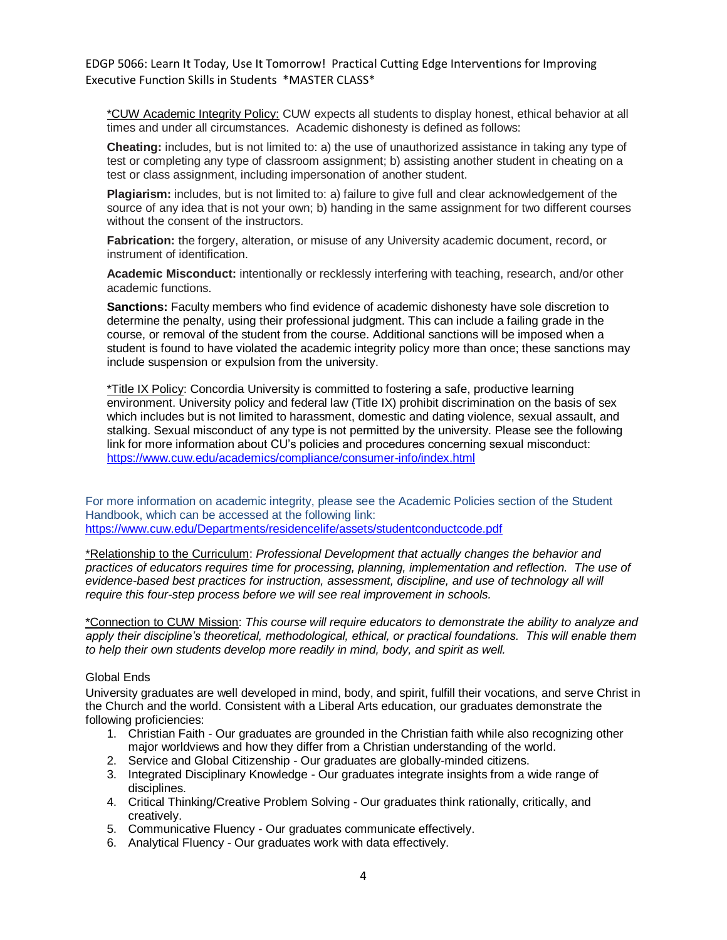\*CUW Academic Integrity Policy: CUW expects all students to display honest, ethical behavior at all times and under all circumstances. Academic dishonesty is defined as follows:

**Cheating:** includes, but is not limited to: a) the use of unauthorized assistance in taking any type of test or completing any type of classroom assignment; b) assisting another student in cheating on a test or class assignment, including impersonation of another student.

**Plagiarism:** includes, but is not limited to: a) failure to give full and clear acknowledgement of the source of any idea that is not your own; b) handing in the same assignment for two different courses without the consent of the instructors.

**Fabrication:** the forgery, alteration, or misuse of any University academic document, record, or instrument of identification.

**Academic Misconduct:** intentionally or recklessly interfering with teaching, research, and/or other academic functions.

**Sanctions:** Faculty members who find evidence of academic dishonesty have sole discretion to determine the penalty, using their professional judgment. This can include a failing grade in the course, or removal of the student from the course. Additional sanctions will be imposed when a student is found to have violated the academic integrity policy more than once; these sanctions may include suspension or expulsion from the university.

\*Title IX Policy: Concordia University is committed to fostering a safe, productive learning environment. University policy and federal law (Title IX) prohibit discrimination on the basis of sex which includes but is not limited to harassment, domestic and dating violence, sexual assault, and stalking. Sexual misconduct of any type is not permitted by the university. Please see the following link for more information about CU's policies and procedures concerning sexual misconduct: <https://www.cuw.edu/academics/compliance/consumer-info/index.html>

For more information on academic integrity, please see the Academic Policies section of the Student Handbook, which can be accessed at the following link: <https://www.cuw.edu/Departments/residencelife/assets/studentconductcode.pdf>

\*Relationship to the Curriculum: *Professional Development that actually changes the behavior and practices of educators requires time for processing, planning, implementation and reflection. The use of evidence-based best practices for instruction, assessment, discipline, and use of technology all will require this four-step process before we will see real improvement in schools.* 

\*Connection to CUW Mission: *This course will require educators to demonstrate the ability to analyze and apply their discipline's theoretical, methodological, ethical, or practical foundations. This will enable them to help their own students develop more readily in mind, body, and spirit as well.*

#### Global Ends

University graduates are well developed in mind, body, and spirit, fulfill their vocations, and serve Christ in the Church and the world. Consistent with a Liberal Arts education, our graduates demonstrate the following proficiencies:

- 1. Christian Faith Our graduates are grounded in the Christian faith while also recognizing other major worldviews and how they differ from a Christian understanding of the world.
- 2. Service and Global Citizenship Our graduates are globally-minded citizens.
- 3. Integrated Disciplinary Knowledge Our graduates integrate insights from a wide range of disciplines.
- 4. Critical Thinking/Creative Problem Solving Our graduates think rationally, critically, and creatively.
- 5. Communicative Fluency Our graduates communicate effectively.
- 6. Analytical Fluency Our graduates work with data effectively.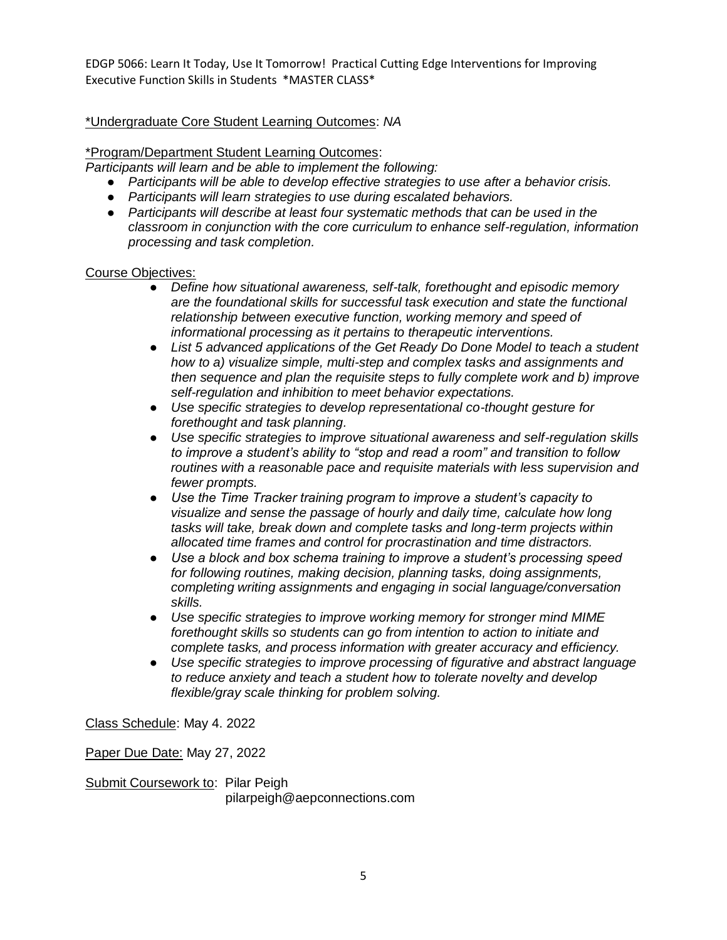# \*Undergraduate Core Student Learning Outcomes: *NA*

### \*Program/Department Student Learning Outcomes:

*Participants will learn and be able to implement the following:*

- *Participants will be able to develop effective strategies to use after a behavior crisis.*
- *Participants will learn strategies to use during escalated behaviors.*
- *Participants will describe at least four systematic methods that can be used in the classroom in conjunction with the core curriculum to enhance self-regulation, information processing and task completion.*

### Course Objectives:

- *Define how situational awareness, self-talk, forethought and episodic memory are the foundational skills for successful task execution and state the functional relationship between executive function, working memory and speed of informational processing as it pertains to therapeutic interventions.*
- *List 5 advanced applications of the Get Ready Do Done Model to teach a student how to a) visualize simple, multi-step and complex tasks and assignments and then sequence and plan the requisite steps to fully complete work and b) improve self-regulation and inhibition to meet behavior expectations.*
- *Use specific strategies to develop representational co-thought gesture for forethought and task planning.*
- *Use specific strategies to improve situational awareness and self-regulation skills to improve a student's ability to "stop and read a room" and transition to follow routines with a reasonable pace and requisite materials with less supervision and fewer prompts.*
- *Use the Time Tracker training program to improve a student's capacity to visualize and sense the passage of hourly and daily time, calculate how long tasks will take, break down and complete tasks and long-term projects within allocated time frames and control for procrastination and time distractors.*
- *Use a block and box schema training to improve a student's processing speed for following routines, making decision, planning tasks, doing assignments, completing writing assignments and engaging in social language/conversation skills.*
- *Use specific strategies to improve working memory for stronger mind MIME forethought skills so students can go from intention to action to initiate and complete tasks, and process information with greater accuracy and efficiency.*
- *Use specific strategies to improve processing of figurative and abstract language to reduce anxiety and teach a student how to tolerate novelty and develop flexible/gray scale thinking for problem solving.*

Class Schedule: May 4. 2022

Paper Due Date: May 27, 2022

Submit Coursework to: Pilar Peigh pilarpeigh@aepconnections.com